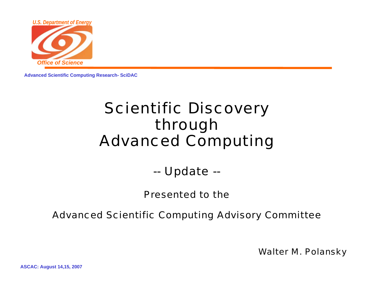

**Advanced Scientific Computing Research- SciDAC**

### Scientific Discovery through Advanced Computing

--Update --

Presented to the

Advanced Scientific Computing Advisory Committee

Walter M. Polansky

**ASCAC: August 14,15, 2007**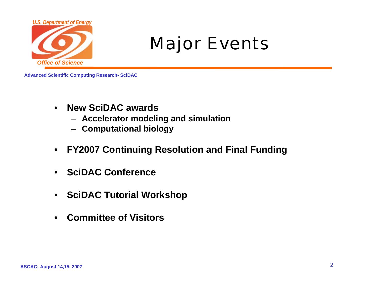

# Major Events

- • **New SciDAC awards**
	- **Accelerator modeling and simulation**
	- **Computational biology**
- •**FY2007 Continuing Resolution and Final Funding**
- $\bullet$ **SciDAC Conference**
- •**SciDAC Tutorial Workshop**
- $\bullet$ **Committee of Visitors**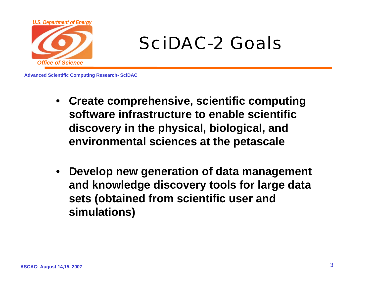

# SciDAC-2 Goals

- **Create comprehensive, scientific computing software infrastructure to enable scientific discovery in the physical, biological, and environmental sciences at the petascale**
- **Develop new generation of data management and knowledge discovery tools for large data sets (obtained from scientific user and simulations)**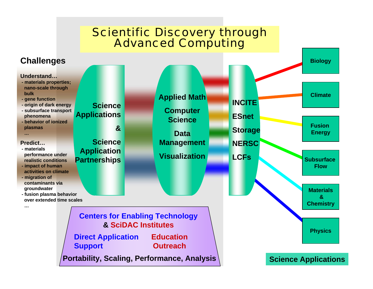#### Scientific Discovery through Advanced Computing

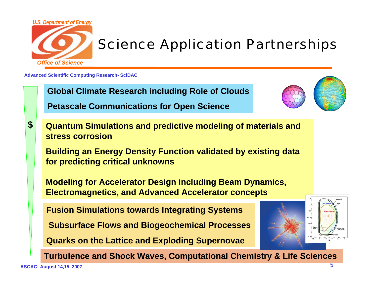

### Science Application Partnerships

**Advanced Scientific Computing Research- SciDAC**



**\$**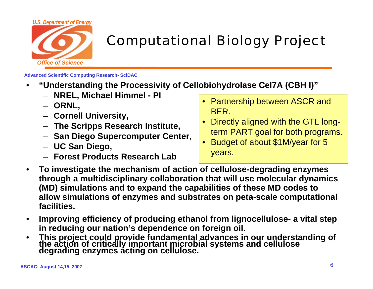

### Computational Biology Project

- • **"Understanding the Processivity of Cellobiohydrolase Cel7A (CBH I)"**
	- **NREL, Michael Himmel - PI**
	- **ORNL,**
	- **Cornell University,**
	- **The Scripps Research Institute,**
	- **San Diego Supercomputer Center,**
	- **UC San Diego,**
	- **Forest Products Research Lab**
- Partnership between ASCR and BER.
- $\bullet$  Directly aligned with the GTL longterm PART goal for both programs.
- Budget of about \$1M/year for 5 years.
- • **To investigate the mechanism of action of cellulose-degrading enzymes through a multidisciplinary collaboration that will use molecular dynamics (MD) simulations and to expand the capabilities of these MD codes to allow simulations of enzymes and substrates on peta-scale computational facilities.**
- • **Improving efficiency of producing ethanol from lignocellulose- a vital step in reducing our nation's dependence on foreign oil.**
- •**This project could provide fundamental advances in our understanding of the action of critically important microbial systems and cellulose degrading enzymes acting on cellulose.**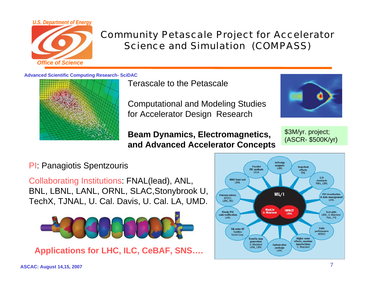

#### Community Petascale Project for Accelerator Science and Simulation (COMPASS)

**Advanced Scientific Computing Research- SciDAC**



Terascale to the Petascale

Computational and Modeling Studies for Accelerator Design Research

**Beam Dynamics, Electromagnetics, and Advanced Accelerator Concepts**



\$3M/yr. project; (ASCR- \$500K/yr)

#### PI: Panagiotis Spentzouris

Collaborating Institutions: FNAL(lead), ANL, BNL, LBNL, LANL, ORNL, SLAC,Stonybrook U, TechX, TJNAL, U. Cal. Davis, U. Cal. LA, UMD.



**Applications for LHC, ILC, CeBAF, SNS….** 

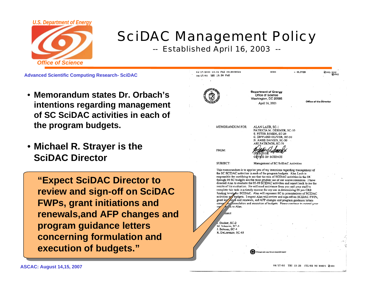

## SciDAC Management Policy

-- Established April 16, 2003 --

**Advanced Scientific Computing Research- SciDAC**

- • **Memorandum states Dr. Orbach'sintentions regarding management of SC SciDAC activities in each of the program budgets.**
- **Michael R. Strayer is the SciDAC Director**

**"Expect SciDAC Director to review and sign-off on SciDAC FWPs, grant initiations and renewals,and AFP changes and program guidance letters concerning formulation and execution of budgets."**

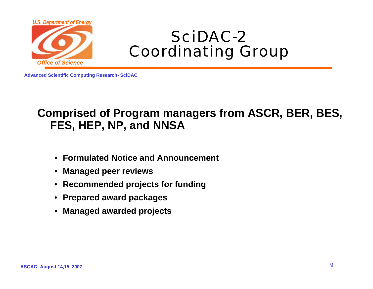

### SciDAC-2Coordinating Group

**Advanced Scientific Computing Research- SciDAC**

#### **Comprised of Program managers from ASCR, BER, BES, FES, HEP, NP, and NNSA**

- •**Formulated Notice and Announcement**
- •**Managed peer reviews**
- •**Recommended projects for funding**
- •**Prepared award packages**
- •**Managed awarded projects**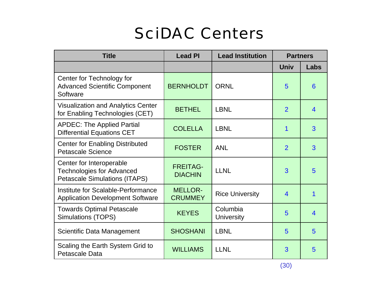# SciDAC Centers

| <b>Title</b>                                                                                         | <b>Lead PI</b>                    | <b>Lead Institution</b><br><b>Partners</b> |                |                |
|------------------------------------------------------------------------------------------------------|-----------------------------------|--------------------------------------------|----------------|----------------|
|                                                                                                      |                                   |                                            | <b>Univ</b>    | Labs           |
| Center for Technology for<br><b>Advanced Scientific Component</b><br>Software                        | <b>BERNHOLDT</b>                  | <b>ORNL</b>                                | 5              | 6              |
| <b>Visualization and Analytics Center</b><br>for Enabling Technologies (CET)                         | <b>BETHEL</b>                     | <b>LBNL</b>                                | $\overline{2}$ | $\overline{4}$ |
| <b>APDEC: The Applied Partial</b><br><b>Differential Equations CET</b>                               | <b>COLELLA</b>                    | <b>LBNL</b>                                | 1              | 3              |
| <b>Center for Enabling Distributed</b><br><b>Petascale Science</b>                                   | <b>FOSTER</b>                     | <b>ANL</b>                                 | $\overline{2}$ | 3              |
| Center for Interoperable<br><b>Technologies for Advanced</b><br><b>Petascale Simulations (ITAPS)</b> | <b>FREITAG-</b><br><b>DIACHIN</b> | <b>LLNL</b>                                | 3              | 5              |
| Institute for Scalable-Performance<br><b>Application Development Software</b>                        | <b>MELLOR-</b><br><b>CRUMMEY</b>  | <b>Rice University</b>                     | $\overline{4}$ | 1              |
| <b>Towards Optimal Petascale</b><br><b>Simulations (TOPS)</b>                                        | <b>KEYES</b>                      | Columbia<br><b>University</b>              | 5              | $\overline{4}$ |
| Scientific Data Management                                                                           | <b>SHOSHANI</b>                   | <b>LBNL</b>                                | 5              | 5              |
| Scaling the Earth System Grid to<br><b>Petascale Data</b>                                            | <b>WILLIAMS</b>                   | <b>LLNL</b>                                | 3              | 5              |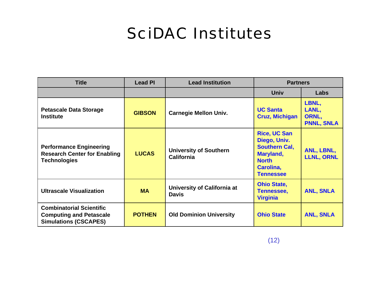## SciDAC Institutes

| <b>Title</b>                                                                                      | <b>Lead PI</b> | <b>Lead Institution</b>                            | <b>Partners</b>                                                                                                           |                                              |
|---------------------------------------------------------------------------------------------------|----------------|----------------------------------------------------|---------------------------------------------------------------------------------------------------------------------------|----------------------------------------------|
|                                                                                                   |                |                                                    | <b>Univ</b>                                                                                                               | Labs                                         |
| <b>Petascale Data Storage</b><br><b>Institute</b>                                                 | <b>GIBSON</b>  | <b>Carnegie Mellon Univ.</b>                       | <b>UC Santa</b><br><b>Cruz, Michigan</b>                                                                                  | LBNL,<br>LANL,<br>ORNL,<br><b>PNNL, SNLA</b> |
| <b>Performance Engineering</b><br><b>Research Center for Enabling</b><br><b>Technologies</b>      | <b>LUCAS</b>   | <b>University of Southern</b><br><b>California</b> | <b>Rice, UC San</b><br>Diego, Univ.<br><b>Southern Cal.</b><br>Maryland,<br><b>North</b><br>Carolina,<br><b>Tennessee</b> | ANL, LBNL,<br><b>LLNL, ORNL</b>              |
| <b>Ultrascale Visualization</b>                                                                   | <b>MA</b>      | University of California at<br><b>Davis</b>        | <b>Ohio State,</b><br><b>Tennessee,</b><br><b>Virginia</b>                                                                | <b>ANL, SNLA</b>                             |
| <b>Combinatorial Scientific</b><br><b>Computing and Petascale</b><br><b>Simulations (CSCAPES)</b> | <b>POTHEN</b>  | <b>Old Dominion University</b>                     | <b>Ohio State</b>                                                                                                         | <b>ANL, SNLA</b>                             |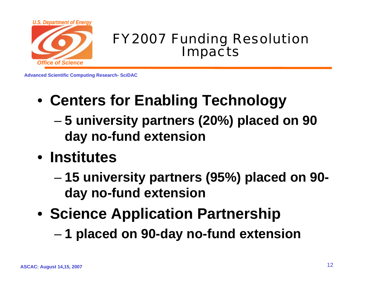

#### FY2007 Funding Resolution Impacts

- **Centers for Enabling Technology**
	- – **5 university partners (20%) placed on 90 day no-fund extension**
- **Institutes**
	- – **15 university partners (95%) placed on 90 day no-fund extension**
- **Science Application Partnership**
	- –**1 placed on 90-day no-fund extension**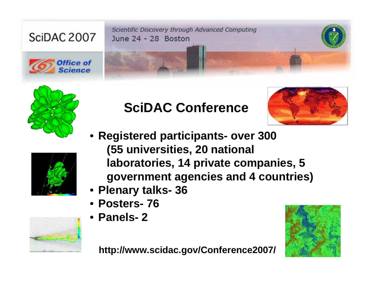Scientific Discovery through Advanced Computing June 24 - 28 Boston



SciDAC 2007









- **Registered participants- over 300 (55 universities, 20 national laboratories, 14 private companies, 5 government agencies and 4 countries)**
- **Plenary talks- 36**
- **Posters- 76**
- **Panels- 2**





**http://www.scidac.gov/Conference2007/**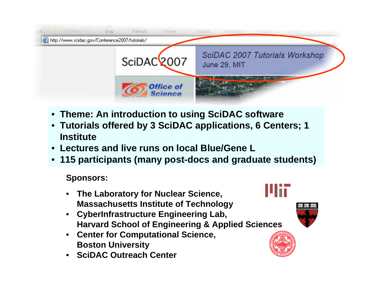

- **Theme: An introduction to using SciDAC software**
- **Tutorials offered by 3 SciDAC applications, 6 Centers; 1 Institute**
- **Lectures and live runs on local Blue/Gene L**
- **115 participants (many post-docs and graduate students)**

#### **Sponsors:**

- • **The Laboratory for Nuclear Science, Massachusetts Institute of Technology**
- **CyberInfrastructure Engineering Lab, Harvard School of Engineering & Applied Sciences**
- **Center for Computational Science, Boston University**
- •**SciDAC Outreach Center**

# Ulii



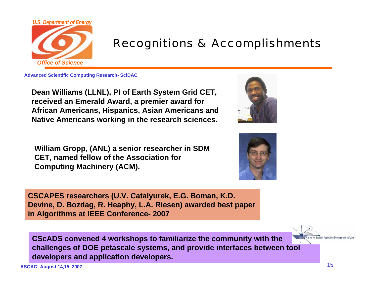

#### Recognitions & Accomplishments

**Advanced Scientific Computing Research- SciDAC**

**Dean Williams (LLNL), PI of Earth System Grid CET, received an Emerald Award, a premier award for African Americans, Hispanics, Asian Americans and Native Americans working in the research sciences.** 

**William Gropp, (ANL) a senior researcher in SDM CET, named fellow of the Association for Computing Machinery (ACM).** 





**CSCAPES researchers (U.V. Catalyurek, E.G. Boman, K.D. Devine, D. Bozdag, R. Heaphy, L.A. Riesen) awarded best paper in Algorithms at IEEE Conference- 2007**

**CScADS convened 4 workshops to familiarize the community with the challenges of DOE petascale systems, and provide interfaces between tool developers and application developers.**

**ASCAC: August 14,15, 2007** 15

able Application Development S